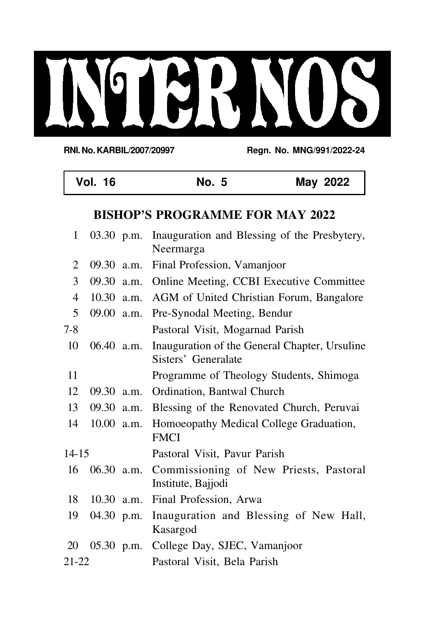# NOICH S  $\overline{\mathcal{L}}$

**RNI. No. KARBIL/2007/20997 Regn. No. MNG/991/2022-24**

|                | <b>Vol. 16</b>                         |              | <b>No. 5</b>                                                         | May 2022 |  |  |  |
|----------------|----------------------------------------|--------------|----------------------------------------------------------------------|----------|--|--|--|
|                | <b>BISHOP'S PROGRAMME FOR MAY 2022</b> |              |                                                                      |          |  |  |  |
| 1              | 03.30 p.m.                             |              | Inauguration and Blessing of the Presbytery,<br>Neermarga            |          |  |  |  |
| $\overline{2}$ | 09.30 a.m.                             |              | Final Profession, Vamanjoor                                          |          |  |  |  |
| 3              |                                        | $09.30$ a.m. | Online Meeting, CCBI Executive Committee                             |          |  |  |  |
| $\overline{4}$ | $10.30$ a.m.                           |              | AGM of United Christian Forum, Bangalore                             |          |  |  |  |
| 5              | 09.00 a.m.                             |              | Pre-Synodal Meeting, Bendur                                          |          |  |  |  |
| $7 - 8$        |                                        |              | Pastoral Visit, Mogarnad Parish                                      |          |  |  |  |
| 10             | 06.40 a.m.                             |              | Inauguration of the General Chapter, Ursuline<br>Sisters' Generalate |          |  |  |  |
| 11             |                                        |              | Programme of Theology Students, Shimoga                              |          |  |  |  |
| 12             | $09.30$ a.m.                           |              | Ordination, Bantwal Church                                           |          |  |  |  |
| 13             | 09.30 a.m.                             |              | Blessing of the Renovated Church, Peruvai                            |          |  |  |  |
| 14             | 10.00 a.m.                             |              | Homoeopathy Medical College Graduation,<br><b>FMCI</b>               |          |  |  |  |
| $14 - 15$      |                                        |              | Pastoral Visit, Pavur Parish                                         |          |  |  |  |
| 16             | 06.30 a.m.                             |              | Commissioning of New Priests, Pastoral<br>Institute, Bajjodi         |          |  |  |  |
| 18             | $10.30$ a.m.                           |              | Final Profession, Arwa                                               |          |  |  |  |
| 19             | 04.30 p.m.                             |              | Inauguration and Blessing of New Hall,<br>Kasargod                   |          |  |  |  |
| 20             | $05.30$ p.m.                           |              | College Day, SJEC, Vamanjoor                                         |          |  |  |  |
| 21-22          |                                        |              | Pastoral Visit, Bela Parish                                          |          |  |  |  |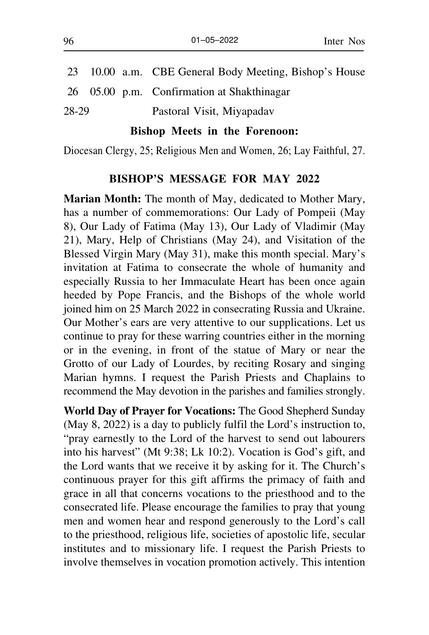| 28-29 |  | Pastoral Visit, Miyapadav                              |
|-------|--|--------------------------------------------------------|
|       |  | 26 05.00 p.m. Confirmation at Shakthinagar             |
|       |  | 23 10.00 a.m. CBE General Body Meeting, Bishop's House |

#### **Bishop Meets in the Forenoon:**

Diocesan Clergy, 25; Religious Men and Women, 26; Lay Faithful, 27.

#### **BISHOP'S MESSAGE FOR MAY 2022**

**Marian Month:** The month of May, dedicated to Mother Mary, has a number of commemorations: Our Lady of Pompeii (May 8), Our Lady of Fatima (May 13), Our Lady of Vladimir (May 21), Mary, Help of Christians (May 24), and Visitation of the Blessed Virgin Mary (May 31), make this month special. Mary's invitation at Fatima to consecrate the whole of humanity and especially Russia to her Immaculate Heart has been once again heeded by Pope Francis, and the Bishops of the whole world joined him on 25 March 2022 in consecrating Russia and Ukraine. Our Mother's ears are very attentive to our supplications. Let us continue to pray for these warring countries either in the morning or in the evening, in front of the statue of Mary or near the Grotto of our Lady of Lourdes, by reciting Rosary and singing Marian hymns. I request the Parish Priests and Chaplains to recommend the May devotion in the parishes and families strongly.

**World Day of Prayer for Vocations:** The Good Shepherd Sunday (May 8, 2022) is a day to publicly fulfil the Lord's instruction to, "pray earnestly to the Lord of the harvest to send out labourers into his harvest" (Mt 9:38; Lk 10:2). Vocation is God's gift, and the Lord wants that we receive it by asking for it. The Church's continuous prayer for this gift affirms the primacy of faith and grace in all that concerns vocations to the priesthood and to the consecrated life. Please encourage the families to pray that young men and women hear and respond generously to the Lord's call to the priesthood, religious life, societies of apostolic life, secular institutes and to missionary life. I request the Parish Priests to involve themselves in vocation promotion actively. This intention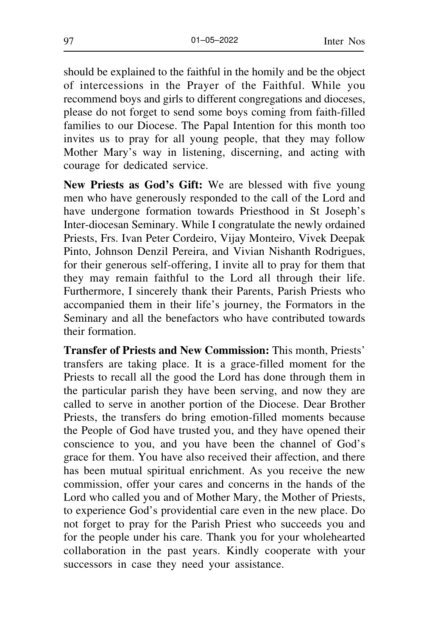should be explained to the faithful in the homily and be the object of intercessions in the Prayer of the Faithful. While you recommend boys and girls to different congregations and dioceses, please do not forget to send some boys coming from faith-filled families to our Diocese. The Papal Intention for this month too invites us to pray for all young people, that they may follow Mother Mary's way in listening, discerning, and acting with courage for dedicated service.

**New Priests as God's Gift:** We are blessed with five young men who have generously responded to the call of the Lord and have undergone formation towards Priesthood in St Joseph's Inter-diocesan Seminary. While I congratulate the newly ordained Priests, Frs. Ivan Peter Cordeiro, Vijay Monteiro, Vivek Deepak Pinto, Johnson Denzil Pereira, and Vivian Nishanth Rodrigues, for their generous self-offering, I invite all to pray for them that they may remain faithful to the Lord all through their life. Furthermore, I sincerely thank their Parents, Parish Priests who accompanied them in their life's journey, the Formators in the Seminary and all the benefactors who have contributed towards their formation.

**Transfer of Priests and New Commission:** This month, Priests' transfers are taking place. It is a grace-filled moment for the Priests to recall all the good the Lord has done through them in the particular parish they have been serving, and now they are called to serve in another portion of the Diocese. Dear Brother Priests, the transfers do bring emotion-filled moments because the People of God have trusted you, and they have opened their conscience to you, and you have been the channel of God's grace for them. You have also received their affection, and there has been mutual spiritual enrichment. As you receive the new commission, offer your cares and concerns in the hands of the Lord who called you and of Mother Mary, the Mother of Priests, to experience God's providential care even in the new place. Do not forget to pray for the Parish Priest who succeeds you and for the people under his care. Thank you for your wholehearted collaboration in the past years. Kindly cooperate with your successors in case they need your assistance.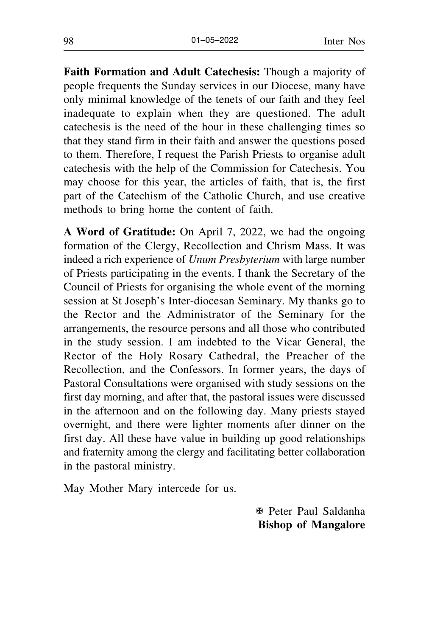**Faith Formation and Adult Catechesis:** Though a majority of people frequents the Sunday services in our Diocese, many have only minimal knowledge of the tenets of our faith and they feel inadequate to explain when they are questioned. The adult catechesis is the need of the hour in these challenging times so that they stand firm in their faith and answer the questions posed to them. Therefore, I request the Parish Priests to organise adult catechesis with the help of the Commission for Catechesis. You may choose for this year, the articles of faith, that is, the first part of the Catechism of the Catholic Church, and use creative methods to bring home the content of faith.

**A Word of Gratitude:** On April 7, 2022, we had the ongoing formation of the Clergy, Recollection and Chrism Mass. It was indeed a rich experience of *Unum Presbyterium* with large number of Priests participating in the events. I thank the Secretary of the Council of Priests for organising the whole event of the morning session at St Joseph's Inter-diocesan Seminary. My thanks go to the Rector and the Administrator of the Seminary for the arrangements, the resource persons and all those who contributed in the study session. I am indebted to the Vicar General, the Rector of the Holy Rosary Cathedral, the Preacher of the Recollection, and the Confessors. In former years, the days of Pastoral Consultations were organised with study sessions on the first day morning, and after that, the pastoral issues were discussed in the afternoon and on the following day. Many priests stayed overnight, and there were lighter moments after dinner on the first day. All these have value in building up good relationships and fraternity among the clergy and facilitating better collaboration in the pastoral ministry.

May Mother Mary intercede for us.

X Peter Paul Saldanha  **Bishop of Mangalore**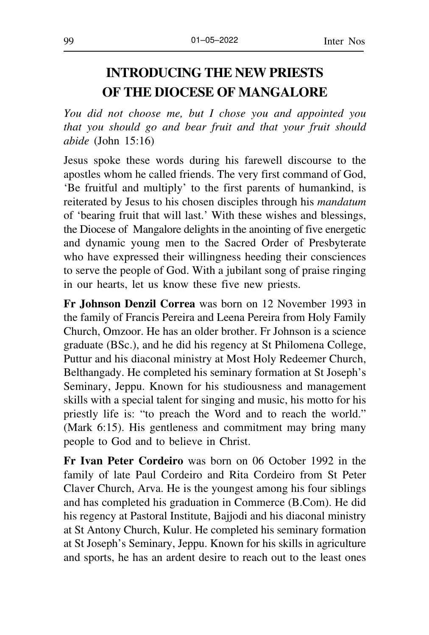# **INTRODUCING THE NEW PRIESTS OF THE DIOCESE OF MANGALORE**

*You did not choose me, but I chose you and appointed you that you should go and bear fruit and that your fruit should abide* (John 15:16)

Jesus spoke these words during his farewell discourse to the apostles whom he called friends. The very first command of God, 'Be fruitful and multiply' to the first parents of humankind, is reiterated by Jesus to his chosen disciples through his *mandatum* of 'bearing fruit that will last.' With these wishes and blessings, the Diocese of Mangalore delights in the anointing of five energetic and dynamic young men to the Sacred Order of Presbyterate who have expressed their willingness heeding their consciences to serve the people of God. With a jubilant song of praise ringing in our hearts, let us know these five new priests.

**Fr Johnson Denzil Correa** was born on 12 November 1993 in the family of Francis Pereira and Leena Pereira from Holy Family Church, Omzoor. He has an older brother. Fr Johnson is a science graduate (BSc.), and he did his regency at St Philomena College, Puttur and his diaconal ministry at Most Holy Redeemer Church, Belthangady. He completed his seminary formation at St Joseph's Seminary, Jeppu. Known for his studiousness and management skills with a special talent for singing and music, his motto for his priestly life is: "to preach the Word and to reach the world." (Mark 6:15). His gentleness and commitment may bring many people to God and to believe in Christ.

**Fr Ivan Peter Cordeiro** was born on 06 October 1992 in the family of late Paul Cordeiro and Rita Cordeiro from St Peter Claver Church, Arva. He is the youngest among his four siblings and has completed his graduation in Commerce (B.Com). He did his regency at Pastoral Institute, Bajjodi and his diaconal ministry at St Antony Church, Kulur. He completed his seminary formation at St Joseph's Seminary, Jeppu. Known for his skills in agriculture and sports, he has an ardent desire to reach out to the least ones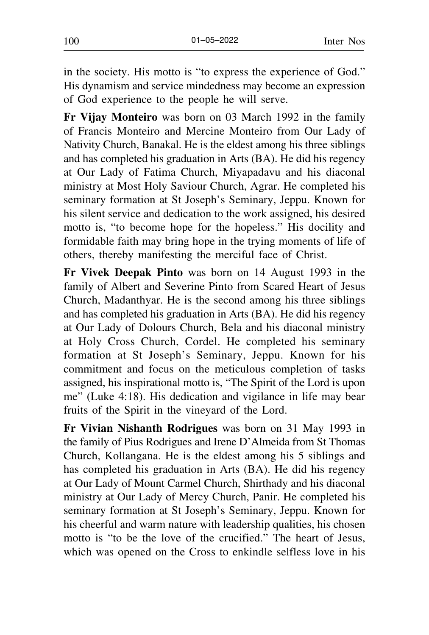in the society. His motto is "to express the experience of God." His dynamism and service mindedness may become an expression of God experience to the people he will serve.

**Fr Vijay Monteiro** was born on 03 March 1992 in the family of Francis Monteiro and Mercine Monteiro from Our Lady of Nativity Church, Banakal. He is the eldest among his three siblings and has completed his graduation in Arts (BA). He did his regency at Our Lady of Fatima Church, Miyapadavu and his diaconal ministry at Most Holy Saviour Church, Agrar. He completed his seminary formation at St Joseph's Seminary, Jeppu. Known for his silent service and dedication to the work assigned, his desired motto is, "to become hope for the hopeless." His docility and formidable faith may bring hope in the trying moments of life of others, thereby manifesting the merciful face of Christ.

**Fr Vivek Deepak Pinto** was born on 14 August 1993 in the family of Albert and Severine Pinto from Scared Heart of Jesus Church, Madanthyar. He is the second among his three siblings and has completed his graduation in Arts (BA). He did his regency at Our Lady of Dolours Church, Bela and his diaconal ministry at Holy Cross Church, Cordel. He completed his seminary formation at St Joseph's Seminary, Jeppu. Known for his commitment and focus on the meticulous completion of tasks assigned, his inspirational motto is, "The Spirit of the Lord is upon me" (Luke 4:18). His dedication and vigilance in life may bear fruits of the Spirit in the vineyard of the Lord.

**Fr Vivian Nishanth Rodrigues** was born on 31 May 1993 in the family of Pius Rodrigues and Irene D'Almeida from St Thomas Church, Kollangana. He is the eldest among his 5 siblings and has completed his graduation in Arts (BA). He did his regency at Our Lady of Mount Carmel Church, Shirthady and his diaconal ministry at Our Lady of Mercy Church, Panir. He completed his seminary formation at St Joseph's Seminary, Jeppu. Known for his cheerful and warm nature with leadership qualities, his chosen motto is "to be the love of the crucified." The heart of Jesus, which was opened on the Cross to enkindle selfless love in his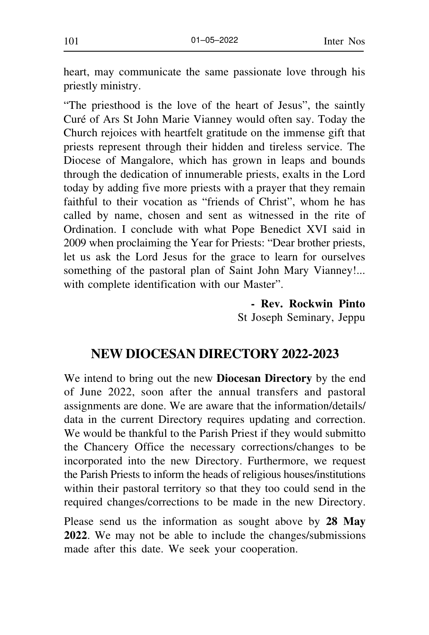heart, may communicate the same passionate love through his priestly ministry.

"The priesthood is the love of the heart of Jesus", the saintly Curé of Ars St John Marie Vianney would often say. Today the Church rejoices with heartfelt gratitude on the immense gift that priests represent through their hidden and tireless service. The Diocese of Mangalore, which has grown in leaps and bounds through the dedication of innumerable priests, exalts in the Lord today by adding five more priests with a prayer that they remain faithful to their vocation as "friends of Christ", whom he has called by name, chosen and sent as witnessed in the rite of Ordination. I conclude with what Pope Benedict XVI said in 2009 when proclaiming the Year for Priests: "Dear brother priests, let us ask the Lord Jesus for the grace to learn for ourselves something of the pastoral plan of Saint John Mary Vianney!... with complete identification with our Master".

> **- Rev. Rockwin Pinto** St Joseph Seminary, Jeppu

# **NEW DIOCESAN DIRECTORY 2022-2023**

We intend to bring out the new **Diocesan Directory** by the end of June 2022, soon after the annual transfers and pastoral assignments are done. We are aware that the information/details/ data in the current Directory requires updating and correction. We would be thankful to the Parish Priest if they would submitto the Chancery Office the necessary corrections/changes to be incorporated into the new Directory. Furthermore, we request the Parish Priests to inform the heads of religious houses/institutions within their pastoral territory so that they too could send in the required changes/corrections to be made in the new Directory.

Please send us the information as sought above by **28 May 2022**. We may not be able to include the changes/submissions made after this date. We seek your cooperation.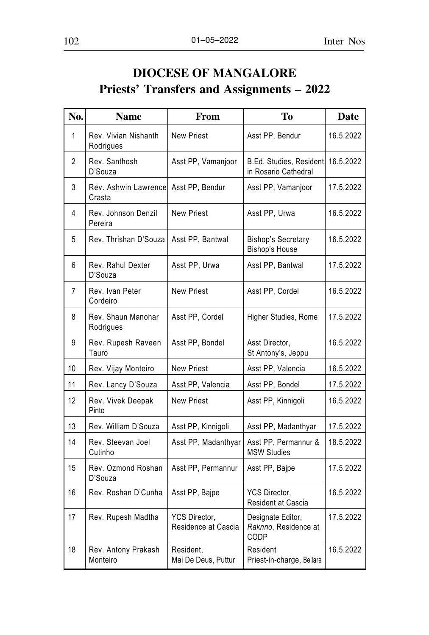# **DIOCESE OF MANGALORE Priests' Transfers and Assignments – 2022**

| No.          | <b>Name</b>                       | From                                 | Tо                                                     | <b>Date</b> |
|--------------|-----------------------------------|--------------------------------------|--------------------------------------------------------|-------------|
| $\mathbf{1}$ | Rev. Vivian Nishanth<br>Rodrigues | <b>New Priest</b>                    | Asst PP, Bendur                                        | 16.5.2022   |
| 2            | Rev. Santhosh<br>D'Souza          | Asst PP, Vamanjoor                   | <b>B.Ed. Studies, Resident</b><br>in Rosario Cathedral | 16.5.2022   |
| 3            | Rev. Ashwin Lawrencel<br>Crasta   | Asst PP, Bendur                      | Asst PP, Vamanjoor                                     | 17.5.2022   |
| 4            | Rev. Johnson Denzil<br>Pereira    | <b>New Priest</b>                    | Asst PP, Urwa                                          | 16.5.2022   |
| 5            | Rev. Thrishan D'Souza             | Asst PP, Bantwal                     | <b>Bishop's Secretary</b><br>Bishop's House            | 16.5.2022   |
| 6            | Rev. Rahul Dexter<br>D'Souza      | Asst PP, Urwa                        | Asst PP, Bantwal                                       | 17.5.2022   |
| 7            | Rev. Ivan Peter<br>Cordeiro       | <b>New Priest</b>                    | Asst PP, Cordel                                        | 16.5.2022   |
| 8            | Rev. Shaun Manohar<br>Rodrigues   | Asst PP, Cordel                      | Higher Studies, Rome                                   | 17.5.2022   |
| 9            | Rev. Rupesh Raveen<br>Tauro       | Asst PP, Bondel                      | Asst Director,<br>St Antony's, Jeppu                   | 16.5.2022   |
| 10           | Rev. Vijay Monteiro               | <b>New Priest</b>                    | Asst PP, Valencia                                      | 16.5.2022   |
| 11           | Rev. Lancy D'Souza                | Asst PP, Valencia                    | Asst PP, Bondel                                        | 17.5.2022   |
| 12           | Rev. Vivek Deepak<br>Pinto        | <b>New Priest</b>                    | Asst PP, Kinnigoli                                     | 16.5.2022   |
| 13           | Rev. William D'Souza              | Asst PP, Kinnigoli                   | Asst PP, Madanthyar                                    | 17.5.2022   |
| 14           | Rev. Steevan Joel<br>Cutinho      | Asst PP, Madanthyar                  | Asst PP, Permannur &<br><b>MSW Studies</b>             | 18.5.2022   |
| 15           | Rev. Ozmond Roshan<br>D'Souza     | Asst PP, Permannur                   | Asst PP, Bajpe                                         | 17.5.2022   |
| 16           | Rev. Roshan D'Cunha               | Asst PP, Bajpe                       | YCS Director,<br>Resident at Cascia                    | 16.5.2022   |
| 17           | Rev. Rupesh Madtha                | YCS Director,<br>Residence at Cascia | Designate Editor,<br>Raknno, Residence at<br>CODP      | 17.5.2022   |
| 18           | Rev. Antony Prakash<br>Monteiro   | Resident.<br>Mai De Deus, Puttur     | Resident<br>Priest-in-charge, Bellare                  | 16.5.2022   |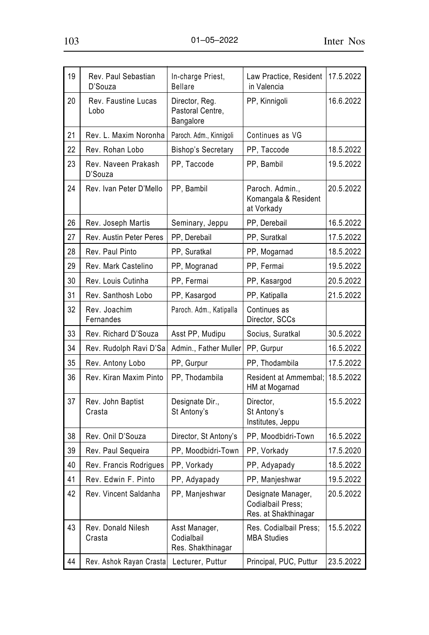| 19 | Rev. Paul Sebastian<br>D'Souza | In-charge Priest,<br>Bellare                     | Law Practice, Resident<br>in Valencia                                  | 17.5.2022 |
|----|--------------------------------|--------------------------------------------------|------------------------------------------------------------------------|-----------|
| 20 | Rev. Faustine Lucas<br>Lobo    | Director, Reg.<br>Pastoral Centre,<br>Bangalore  | PP, Kinnigoli                                                          | 16.6.2022 |
| 21 | Rev. L. Maxim Noronha          | Paroch. Adm., Kinnigoli                          | Continues as VG                                                        |           |
| 22 | Rev. Rohan Lobo                | <b>Bishop's Secretary</b>                        | PP. Taccode                                                            | 18.5.2022 |
| 23 | Rev. Naveen Prakash<br>D'Souza | PP, Taccode                                      | PP, Bambil                                                             | 19.5.2022 |
| 24 | Rev. Ivan Peter D'Mello        | PP, Bambil                                       | Paroch. Admin<br>Komangala & Resident<br>at Vorkady                    | 20.5.2022 |
| 26 | Rev. Joseph Martis             | Seminary, Jeppu                                  | PP, Derebail                                                           | 16.5.2022 |
| 27 | Rev. Austin Peter Peres        | PP, Derebail                                     | PP, Suratkal                                                           | 17.5.2022 |
| 28 | Rev. Paul Pinto                | PP, Suratkal                                     | PP, Mogarnad                                                           | 18.5.2022 |
| 29 | Rev. Mark Castelino            | PP, Mogranad                                     | PP, Fermai                                                             | 19.5.2022 |
| 30 | Rev. Louis Cutinha             | PP, Fermai                                       | PP, Kasargod                                                           | 20.5.2022 |
| 31 | Rev. Santhosh Lobo             | PP, Kasargod                                     | PP, Katipalla                                                          | 21.5.2022 |
| 32 | Rev. Joachim<br>Fernandes      | Paroch. Adm., Katipalla                          | Continues as<br>Director, SCCs                                         |           |
| 33 | Rev. Richard D'Souza           | Asst PP, Mudipu                                  | Socius, Suratkal                                                       | 30.5.2022 |
| 34 | Rev. Rudolph Ravi D'Sa         | Admin., Father Muller                            | PP, Gurpur                                                             | 16.5.2022 |
| 35 | Rev. Antony Lobo               | PP, Gurpur                                       | PP. Thodambila                                                         | 17.5.2022 |
| 36 | Rev. Kiran Maxim Pinto         | PP, Thodambila                                   | Resident at Ammembal;<br>HM at Mogarnad                                | 18.5.2022 |
| 37 | Rev. John Baptist<br>Crasta    | Designate Dir.,<br>St Antony's                   | Director,<br>St Antony's<br>Institutes, Jeppu                          | 15.5.2022 |
| 38 | Rev. Onil D'Souza              | Director, St Antony's                            | PP, Moodbidri-Town                                                     | 16.5.2022 |
| 39 | Rev. Paul Sequeira             | PP, Moodbidri-Town                               | PP, Vorkady                                                            | 17.5.2020 |
| 40 | Rev. Francis Rodrigues         | PP, Vorkady                                      | PP, Adyapady                                                           | 18.5.2022 |
| 41 | Rev. Edwin F. Pinto            | PP, Adyapady                                     | PP, Manjeshwar                                                         | 19.5.2022 |
| 42 | Rev. Vincent Saldanha          | PP, Manjeshwar                                   | Designate Manager,<br><b>Codialbail Press:</b><br>Res. at Shakthinagar | 20.5.2022 |
| 43 | Rev. Donald Nilesh<br>Crasta   | Asst Manager,<br>Codialbail<br>Res. Shakthinagar | Res. Codialbail Press;<br><b>MBA Studies</b>                           | 15.5.2022 |
| 44 | Rev. Ashok Rayan Crastal       | Lecturer, Puttur                                 | Principal, PUC, Puttur                                                 | 23.5.2022 |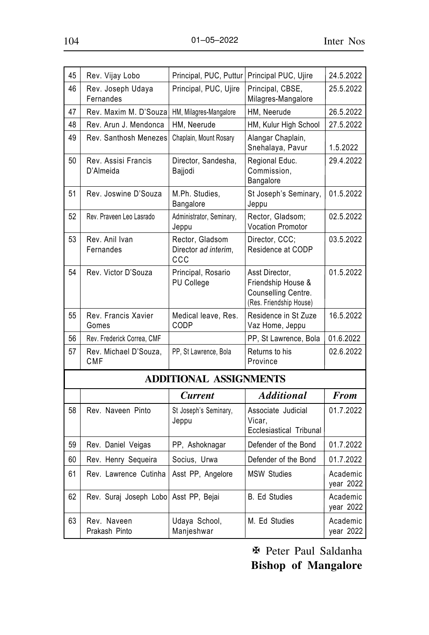| 45 | Rev. Vijay Lobo                  | Principal, PUC, Puttur                         | Principal PUC, Ujire                                                                   | 24.5.2022             |
|----|----------------------------------|------------------------------------------------|----------------------------------------------------------------------------------------|-----------------------|
| 46 | Rev. Joseph Udaya<br>Fernandes   | Principal, PUC, Ujire                          | Principal, CBSE.<br>Milagres-Mangalore                                                 | 25.5.2022             |
| 47 | Rev. Maxim M. D'Souzal           | HM, Milagres-Mangalore                         | HM. Neerude                                                                            | 26.5.2022             |
| 48 | Rev. Arun J. Mendonca            | HM, Neerude                                    | HM, Kulur High School                                                                  | 27.5.2022             |
| 49 | Rev. Santhosh Menezes            | Chaplain, Mount Rosary                         | Alangar Chaplain,<br>Snehalaya, Pavur                                                  | 1.5.2022              |
| 50 | Rev. Assisi Francis<br>D'Almeida | Director, Sandesha,<br>Bajjodi                 | Regional Educ.<br>Commission.<br>Bangalore                                             | 29.4.2022             |
| 51 | Rev. Joswine D'Souza             | M.Ph. Studies.<br>Bangalore                    | St Joseph's Seminary,<br>Jeppu                                                         | 01.5.2022             |
| 52 | Rev. Praveen Leo Lasrado         | Administrator, Seminary,<br>Jeppu              | Rector, Gladsom;<br><b>Vocation Promotor</b>                                           | 02.5.2022             |
| 53 | Rev. Anil Ivan<br>Fernandes      | Rector, Gladsom<br>Director ad interim.<br>CCC | Director, CCC;<br>Residence at CODP                                                    | 03.5.2022             |
| 54 | Rev. Victor D'Souza              | Principal, Rosario<br>PU College               | Asst Director,<br>Friendship House &<br>Counselling Centre.<br>(Res. Friendship House) | 01.5.2022             |
| 55 | Rev. Francis Xavier<br>Gomes     | Medical leave, Res.<br>CODP                    | Residence in St Zuze<br>Vaz Home, Jeppu                                                | 16.5.2022             |
| 56 | Rev. Frederick Correa, CMF       |                                                | PP, St Lawrence, Bola                                                                  | 01.6.2022             |
| 57 | Rev. Michael D'Souza,<br>CMF     | PP, St Lawrence, Bola                          | Returns to his<br>Province                                                             | 02.6.2022             |
|    |                                  | <b>ADDITIONAL ASSIGNMENTS</b>                  |                                                                                        |                       |
|    |                                  | <b>Current</b>                                 | <b>Additional</b>                                                                      | <b>From</b>           |
| 58 | Rev. Naveen Pinto                | St Joseph's Seminary,<br>Jeppu                 | Associate Judicial<br>Vicar.<br>Ecclesiastical Tribunal                                | 01.7.2022             |
| 59 | Rev. Daniel Veigas               | PP, Ashoknagar                                 | Defender of the Bond                                                                   | 01.7.2022             |
| 60 | Rev. Henry Sequeira              | Socius, Urwa                                   | Defender of the Bond                                                                   | 01.7.2022             |
| 61 | Rev. Lawrence Cutinha            | Asst PP, Angelore                              | <b>MSW Studies</b>                                                                     | Academic<br>year 2022 |
| 62 | Rev. Suraj Joseph Lobo           | Asst PP, Bejai                                 | <b>B.</b> Ed Studies                                                                   | Academic<br>year 2022 |
| 63 | Rev. Naveen<br>Prakash Pinto     | Udaya School,<br>Manjeshwar                    | M. Ed Studies                                                                          | Academic<br>year 2022 |

X Peter Paul Saldanha **Bishop of Mangalore**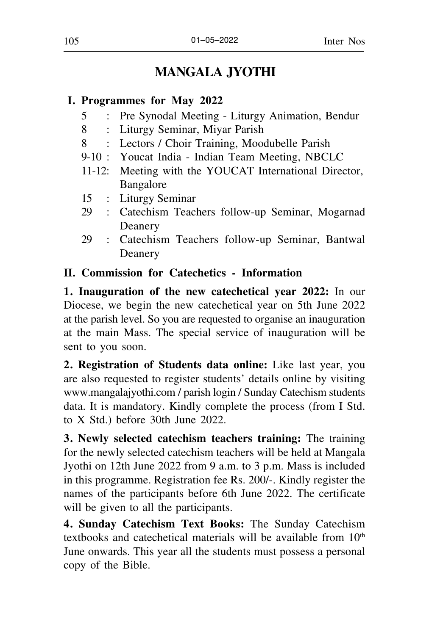# **MANGALA JYOTHI**

#### **I. Programmes for May 2022**

- 5 : Pre Synodal Meeting Liturgy Animation, Bendur
- 8 : Liturgy Seminar, Miyar Parish
- 8 : Lectors / Choir Training, Moodubelle Parish
- 9-10 : Youcat India Indian Team Meeting, NBCLC
- 11-12: Meeting with the YOUCAT International Director, Bangalore
- 15 : Liturgy Seminar
- 29 : Catechism Teachers follow-up Seminar, Mogarnad Deanery
- 29 : Catechism Teachers follow-up Seminar, Bantwal Deanery

#### **II. Commission for Catechetics - Information**

**1. Inauguration of the new catechetical year 2022:** In our Diocese, we begin the new catechetical year on 5th June 2022 at the parish level. So you are requested to organise an inauguration at the main Mass. The special service of inauguration will be sent to you soon.

**2. Registration of Students data online:** Like last year, you are also requested to register students' details online by visiting www.mangalajyothi.com / parish login / Sunday Catechism students data. It is mandatory. Kindly complete the process (from I Std. to X Std.) before 30th June 2022.

**3. Newly selected catechism teachers training:** The training for the newly selected catechism teachers will be held at Mangala Jyothi on 12th June 2022 from 9 a.m. to 3 p.m. Mass is included in this programme. Registration fee Rs. 200/-. Kindly register the names of the participants before 6th June 2022. The certificate will be given to all the participants.

**4. Sunday Catechism Text Books:** The Sunday Catechism textbooks and catechetical materials will be available from 10<sup>th</sup> June onwards. This year all the students must possess a personal copy of the Bible.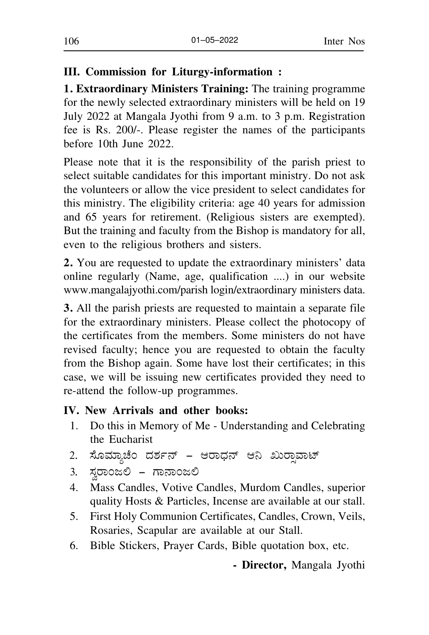## **III. Commission for Liturgy-information :**

**1. Extraordinary Ministers Training:** The training programme for the newly selected extraordinary ministers will be held on 19 July 2022 at Mangala Jyothi from 9 a.m. to 3 p.m. Registration fee is Rs. 200/-. Please register the names of the participants before 10th June 2022.

Please note that it is the responsibility of the parish priest to select suitable candidates for this important ministry. Do not ask the volunteers or allow the vice president to select candidates for this ministry. The eligibility criteria: age 40 years for admission and 65 years for retirement. (Religious sisters are exempted). But the training and faculty from the Bishop is mandatory for all, even to the religious brothers and sisters.

**2.** You are requested to update the extraordinary ministers' data online regularly (Name, age, qualification ....) in our website www.mangalajyothi.com/parish login/extraordinary ministers data.

**3.** All the parish priests are requested to maintain a separate file for the extraordinary ministers. Please collect the photocopy of the certificates from the members. Some ministers do not have revised faculty; hence you are requested to obtain the faculty from the Bishop again. Some have lost their certificates; in this case, we will be issuing new certificates provided they need to re-attend the follow-up programmes.

#### **IV. New Arrivals and other books:**

- 1. Do this in Memory of Me Understanding and Celebrating the Eucharist
- 2. ಸೊಮ್ಯಾಚೆಂ ದರ್ಶನ್ ಆರಾಧನ್ ಆನಿ <mark>ಖುರಾವಾಟ್</mark>
- 3. ಸ್ವರಾಂಜಲಿ ಗಾನಾಂಜಲಿ
- 4. Mass Candles, Votive Candles, Murdom Candles, superior quality Hosts & Particles, Incense are available at our stall.
- 5. First Holy Communion Certificates, Candles, Crown, Veils, Rosaries, Scapular are available at our Stall.
- 6. Bible Stickers, Prayer Cards, Bible quotation box, etc.

**- Director,** Mangala Jyothi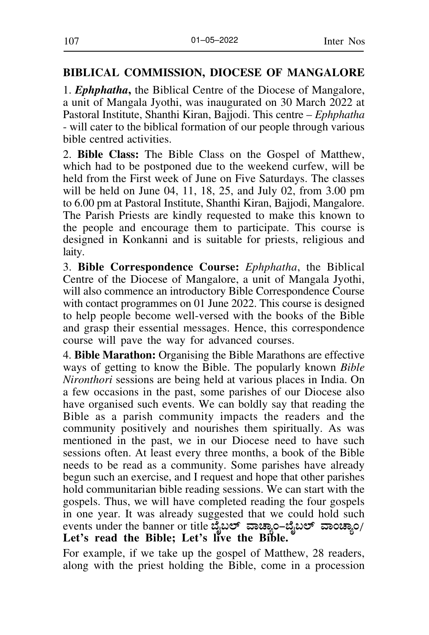#### **BIBLICAL COMMISSION, DIOCESE OF MANGALORE**

1. *Ephphatha***,** the Biblical Centre of the Diocese of Mangalore, a unit of Mangala Jyothi, was inaugurated on 30 March 2022 at Pastoral Institute, Shanthi Kiran, Bajjodi. This centre – *Ephphatha* - will cater to the biblical formation of our people through various bible centred activities.

2. **Bible Class:** The Bible Class on the Gospel of Matthew, which had to be postponed due to the weekend curfew, will be held from the First week of June on Five Saturdays. The classes will be held on June 04, 11, 18, 25, and July 02, from 3.00 pm to 6.00 pm at Pastoral Institute, Shanthi Kiran, Bajjodi, Mangalore. The Parish Priests are kindly requested to make this known to the people and encourage them to participate. This course is designed in Konkanni and is suitable for priests, religious and laity.

3. **Bible Correspondence Course:** *Ephphatha*, the Biblical Centre of the Diocese of Mangalore, a unit of Mangala Jyothi, will also commence an introductory Bible Correspondence Course with contact programmes on 01 June 2022. This course is designed to help people become well-versed with the books of the Bible and grasp their essential messages. Hence, this correspondence course will pave the way for advanced courses.

4. **Bible Marathon:** Organising the Bible Marathons are effective ways of getting to know the Bible. The popularly known *Bible Nironthori* sessions are being held at various places in India. On a few occasions in the past, some parishes of our Diocese also have organised such events. We can boldly say that reading the Bible as a parish community impacts the readers and the community positively and nourishes them spiritually. As was mentioned in the past, we in our Diocese need to have such sessions often. At least every three months, a book of the Bible needs to be read as a community. Some parishes have already begun such an exercise, and I request and hope that other parishes hold communitarian bible reading sessions. We can start with the gospels. Thus, we will have completed reading the four gospels in one year. It was already suggested that we could hold such events under the banner or title ಬೈಬಲ್ ವಾಚ್ಯಾಂ–ಬೈಬಲ್ ವಾಂಚ್ಯಾಂ/ **Let's read the Bible; Let's live the Bible.**

For example, if we take up the gospel of Matthew, 28 readers, along with the priest holding the Bible, come in a procession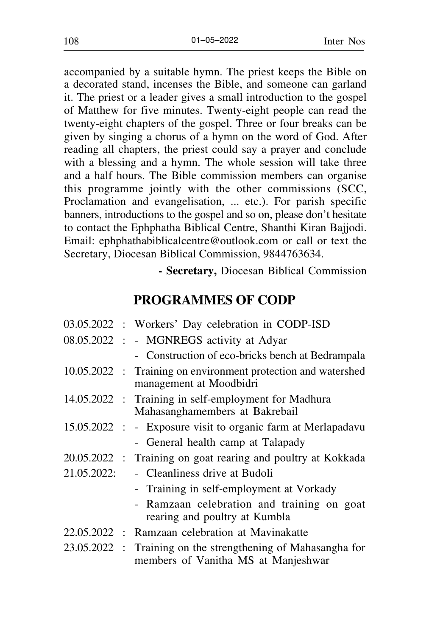accompanied by a suitable hymn. The priest keeps the Bible on a decorated stand, incenses the Bible, and someone can garland it. The priest or a leader gives a small introduction to the gospel of Matthew for five minutes. Twenty-eight people can read the twenty-eight chapters of the gospel. Three or four breaks can be given by singing a chorus of a hymn on the word of God. After reading all chapters, the priest could say a prayer and conclude with a blessing and a hymn. The whole session will take three and a half hours. The Bible commission members can organise this programme jointly with the other commissions (SCC, Proclamation and evangelisation, ... etc.). For parish specific banners, introductions to the gospel and so on, please don't hesitate to contact the Ephphatha Biblical Centre, Shanthi Kiran Bajjodi. Email: ephphathabiblicalcentre@outlook.com or call or text the Secretary, Diocesan Biblical Commission, 9844763634.

**- Secretary,** Diocesan Biblical Commission

# **PROGRAMMES OF CODP**

|              | 03.05.2022 : Workers' Day celebration in CODP-ISD                                        |
|--------------|------------------------------------------------------------------------------------------|
|              | 08.05.2022 : - MGNREGS activity at Adyar                                                 |
|              | - Construction of eco-bricks bench at Bedrampala                                         |
|              | 10.05.2022 : Training on environment protection and watershed<br>management at Moodbidri |
|              | 14.05.2022 : Training in self-employment for Madhura<br>Mahasanghamembers at Bakrebail   |
|              | 15.05.2022 : - Exposure visit to organic farm at Merlapadavu                             |
|              | - General health camp at Talapady                                                        |
|              | 20.05.2022 : Training on goat rearing and poultry at Kokkada                             |
| 21.05.2022:  | - Cleanliness drive at Budoli                                                            |
|              | - Training in self-employment at Vorkady                                                 |
|              | - Ramzaan celebration and training on goat<br>rearing and poultry at Kumbla              |
|              | 22.05.2022 : Ramzaan celebration at Mavinakatte                                          |
| 23.05.2022 : | Training on the strengthening of Mahasangha for<br>members of Vanitha MS at Manjeshwar   |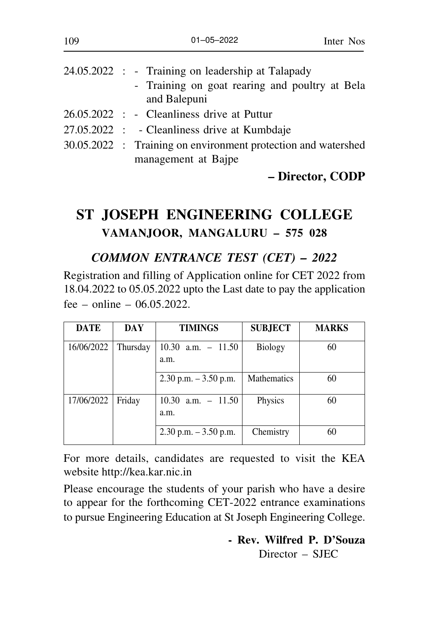|  | 24.05.2022 : - Training on leadership at Talapady<br>- Training on goat rearing and poultry at Bela<br>and Balepuni |
|--|---------------------------------------------------------------------------------------------------------------------|
|  | 26.05.2022 : - Cleanliness drive at Puttur                                                                          |
|  | 27.05.2022 : - Cleanliness drive at Kumbdaje                                                                        |
|  | 30.05.2022 : Training on environment protection and watershed                                                       |
|  | management at Bajpe                                                                                                 |

## **– Director, CODP**

# **ST JOSEPH ENGINEERING COLLEGE VAMANJOOR, MANGALURU – 575 028**

#### *COMMON ENTRANCE TEST (CET) – 2022*

Registration and filling of Application online for CET 2022 from 18.04.2022 to 05.05.2022 upto the Last date to pay the application fee – online –  $06.05.2022$ .

| <b>DATE</b> | DAY      | <b>TIMINGS</b>                | <b>SUBJECT</b> | <b>MARKS</b> |
|-------------|----------|-------------------------------|----------------|--------------|
| 16/06/2022  | Thursday | $10.30$ a.m. $-11.50$<br>a.m. | Biology        | 60           |
|             |          | $2.30$ p.m. $-3.50$ p.m.      | Mathematics    | 60           |
| 17/06/2022  | Friday   | $10.30$ a.m. $-11.50$<br>a.m. | Physics        | 60           |
|             |          | $2.30$ p.m. $-3.50$ p.m.      | Chemistry      | 60           |

For more details, candidates are requested to visit the KEA website http://kea.kar.nic.in

Please encourage the students of your parish who have a desire to appear for the forthcoming CET-2022 entrance examinations to pursue Engineering Education at St Joseph Engineering College.

> **- Rev. Wilfred P. D'Souza** Director – SJEC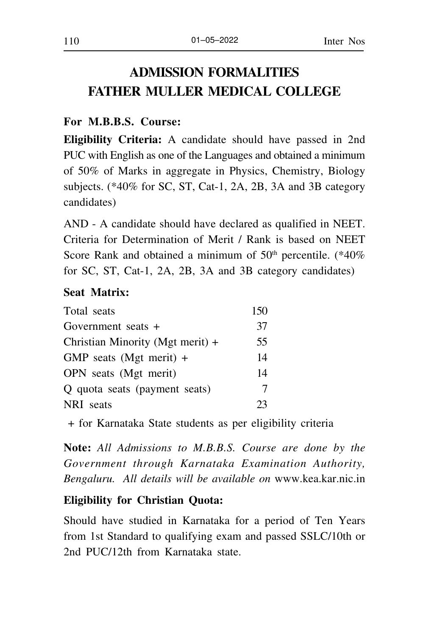# **ADMISSION FORMALITIES FATHER MULLER MEDICAL COLLEGE**

#### **For M.B.B.S. Course:**

**Eligibility Criteria:** A candidate should have passed in 2nd PUC with English as one of the Languages and obtained a minimum of 50% of Marks in aggregate in Physics, Chemistry, Biology subjects. (\*40% for SC, ST, Cat-1, 2A, 2B, 3A and 3B category candidates)

AND - A candidate should have declared as qualified in NEET. Criteria for Determination of Merit / Rank is based on NEET Score Rank and obtained a minimum of  $50<sup>th</sup>$  percentile. (\*40%) for SC, ST, Cat-1, 2A, 2B, 3A and 3B category candidates)

#### **Seat Matrix:**

| Total seats                      | 150 |
|----------------------------------|-----|
| Government seats $+$             | 37  |
| Christian Minority (Mgt merit) + | 55  |
| GMP seats (Mgt merit) $+$        | 14  |
| OPN seats (Mgt merit)            | 14  |
| Q quota seats (payment seats)    | 7   |
| NRI seats                        | 23  |

+ for Karnataka State students as per eligibility criteria

**Note:** *All Admissions to M.B.B.S. Course are done by the Government through Karnataka Examination Authority, Bengaluru. All details will be available on* www.kea.kar.nic.in

#### **Eligibility for Christian Quota:**

Should have studied in Karnataka for a period of Ten Years from 1st Standard to qualifying exam and passed SSLC/10th or 2nd PUC/12th from Karnataka state.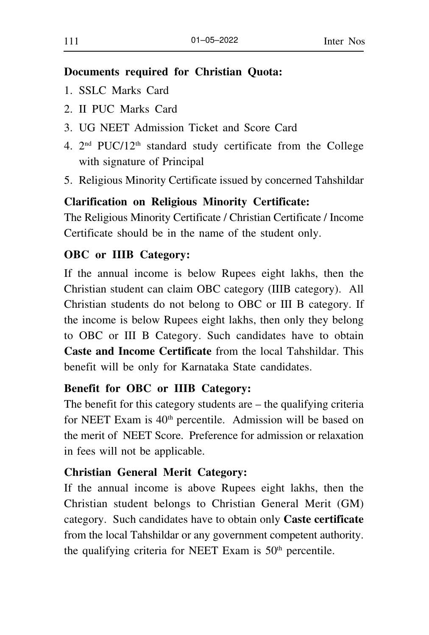## **Documents required for Christian Quota:**

- 1. SSLC Marks Card
- 2. II PUC Marks Card
- 3. UG NEET Admission Ticket and Score Card
- 4.  $2<sup>nd</sup>$  PUC/12<sup>th</sup> standard study certificate from the College with signature of Principal
- 5. Religious Minority Certificate issued by concerned Tahshildar

# **Clarification on Religious Minority Certificate:**

The Religious Minority Certificate / Christian Certificate / Income Certificate should be in the name of the student only.

# **OBC or IIIB Category:**

If the annual income is below Rupees eight lakhs, then the Christian student can claim OBC category (IIIB category). All Christian students do not belong to OBC or III B category. If the income is below Rupees eight lakhs, then only they belong to OBC or III B Category. Such candidates have to obtain **Caste and Income Certificate** from the local Tahshildar. This benefit will be only for Karnataka State candidates.

# **Benefit for OBC or IIIB Category:**

The benefit for this category students are – the qualifying criteria for NEET Exam is 40<sup>th</sup> percentile. Admission will be based on the merit of NEET Score. Preference for admission or relaxation in fees will not be applicable.

# **Christian General Merit Category:**

If the annual income is above Rupees eight lakhs, then the Christian student belongs to Christian General Merit (GM) category. Such candidates have to obtain only **Caste certificate** from the local Tahshildar or any government competent authority. the qualifying criteria for NEET Exam is 50<sup>th</sup> percentile.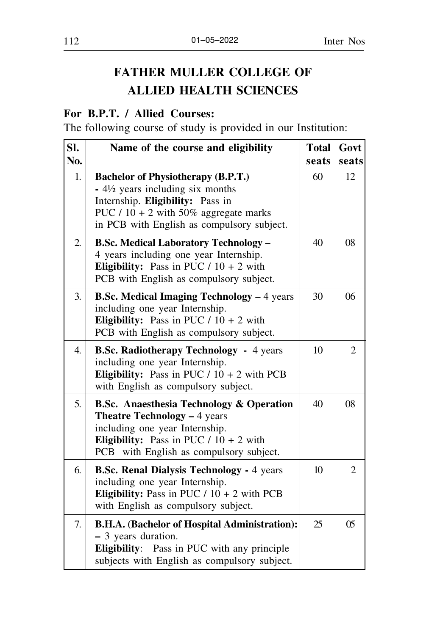# **FATHER MULLER COLLEGE OF ALLIED HEALTH SCIENCES**

# **For B.P.T. / Allied Courses:**

The following course of study is provided in our Institution:

| SI.            | Name of the course and eligibility                                                                                                                                                                                   | <b>Total</b>     | Govt  |
|----------------|----------------------------------------------------------------------------------------------------------------------------------------------------------------------------------------------------------------------|------------------|-------|
| No.            |                                                                                                                                                                                                                      | seats            | seats |
| 1.             | <b>Bachelor of Physiotherapy (B.P.T.)</b><br>$-4\frac{1}{2}$ years including six months<br>Internship. Eligibility: Pass in<br>PUC $/ 10 + 2$ with 50% aggregate marks<br>in PCB with English as compulsory subject. | 60               | 12    |
| $\overline{2}$ | <b>B.Sc. Medical Laboratory Technology -</b><br>4 years including one year Internship.<br>Eligibility: Pass in PUC $/ 10 + 2$ with<br>PCB with English as compulsory subject.                                        | 40               | 08    |
| 3.             | <b>B.Sc. Medical Imaging Technology - 4 years</b><br>including one year Internship.<br>Eligibility: Pass in PUC $/ 10 + 2$ with<br>PCB with English as compulsory subject.                                           | 30               | 06    |
| 4.             | <b>B.Sc. Radiotherapy Technology - 4 years</b><br>including one year Internship.<br>Eligibility: Pass in PUC $/ 10 + 2$ with PCB<br>with English as compulsory subject.                                              | 10               | 2     |
| 5.             | <b>B.Sc.</b> Anaesthesia Technology & Operation<br>Theatre Technology - 4 years<br>including one year Internship.<br>Eligibility: Pass in PUC $/ 10 + 2$ with<br>with English as compulsory subject.<br>PCB          | 40               | 08    |
| 6.             | <b>B.Sc. Renal Dialysis Technology - 4 years</b><br>including one year Internship.<br>Eligibility: Pass in PUC $/ 10 + 2$ with PCB<br>with English as compulsory subject.                                            | 10 <sup>10</sup> | 2     |
| 7.             | B.H.A. (Bachelor of Hospital Administration):<br>- 3 years duration.<br><b>Eligibility:</b> Pass in PUC with any principle<br>subjects with English as compulsory subject.                                           | 25               | 05    |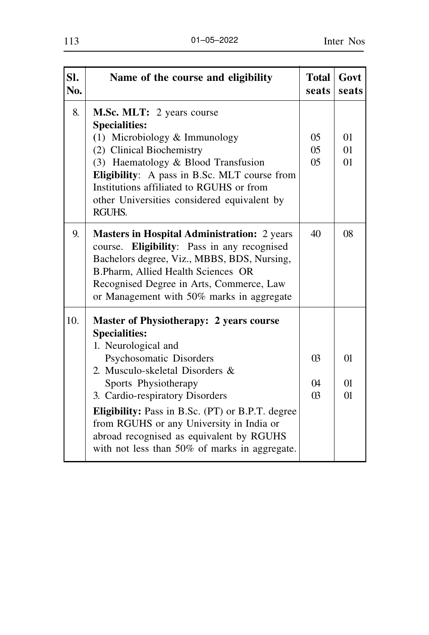| Sl.<br>No. | Name of the course and eligibility                                                                                                                                                                                                                                                                                                                                                                           | <b>Total</b><br>seats                 | Govt<br>seats              |
|------------|--------------------------------------------------------------------------------------------------------------------------------------------------------------------------------------------------------------------------------------------------------------------------------------------------------------------------------------------------------------------------------------------------------------|---------------------------------------|----------------------------|
| 8.         | M.Sc. MLT: 2 years course<br><b>Specialities:</b><br>(1) Microbiology & Immunology<br>(2) Clinical Biochemistry                                                                                                                                                                                                                                                                                              | 0 <sub>5</sub><br>0 <sub>5</sub>      | 01<br>01                   |
|            | (3) Haematology & Blood Transfusion<br>Eligibility: A pass in B.Sc. MLT course from<br>Institutions affiliated to RGUHS or from<br>other Universities considered equivalent by<br><b>RGUHS.</b>                                                                                                                                                                                                              | 05                                    | 01                         |
| 9.         | <b>Masters in Hospital Administration:</b> 2 years<br>Eligibility: Pass in any recognised<br>course.<br>Bachelors degree, Viz., MBBS, BDS, Nursing,<br>B.Pharm, Allied Health Sciences OR<br>Recognised Degree in Arts, Commerce, Law<br>or Management with 50% marks in aggregate                                                                                                                           | 40                                    | 08                         |
| 10.        | Master of Physiotherapy: 2 years course<br><b>Specialities:</b><br>1. Neurological and<br>Psychosomatic Disorders<br>2. Musculo-skeletal Disorders &<br>Sports Physiotherapy<br>3. Cardio-respiratory Disorders<br>Eligibility: Pass in B.Sc. (PT) or B.P.T. degree<br>from RGUHS or any University in India or<br>abroad recognised as equivalent by RGUHS<br>with not less than 50% of marks in aggregate. | <sub>03</sub><br>$\Omega$<br>$\Omega$ | $\Omega$<br>$\Omega$<br>01 |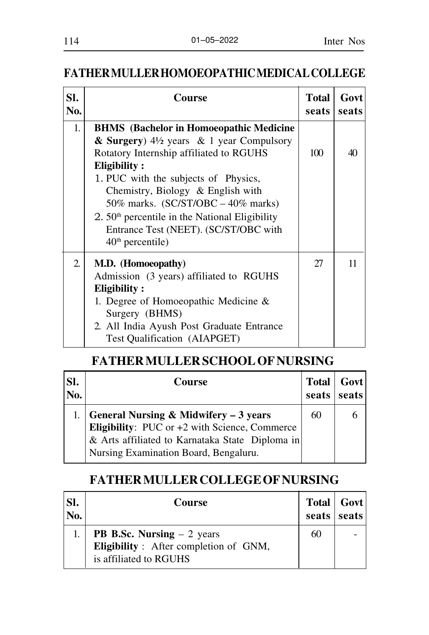# **FATHER MULLER HOMOEOPATHIC MEDICAL COLLEGE**

| SI.<br>No.       | Course                                                                                                                                                                                                                                                                                                                                                                                                  | <b>Total</b><br>seats | Govt<br>seats |
|------------------|---------------------------------------------------------------------------------------------------------------------------------------------------------------------------------------------------------------------------------------------------------------------------------------------------------------------------------------------------------------------------------------------------------|-----------------------|---------------|
| 1.               | <b>BHMS</b> (Bachelor in Homoeopathic Medicine<br>& Surgery) $4\frac{1}{2}$ years & 1 year Compulsory<br>Rotatory Internship affiliated to RGUHS<br>Eligibility:<br>1. PUC with the subjects of Physics,<br>Chemistry, Biology & English with<br>50% marks. $(SC/ST/OBC - 40%$ marks)<br>$2.50th$ percentile in the National Eligibility<br>Entrance Test (NEET). (SC/ST/OBC with<br>$40th$ percentile) | 100                   | 40            |
| $\overline{2}$ . | M.D. (Homoeopathy)<br>Admission (3 years) affiliated to RGUHS<br>Eligibility:<br>1. Degree of Homoeopathic Medicine $\&$<br>Surgery (BHMS)<br>2. All India Ayush Post Graduate Entrance<br>Test Qualification (AIAPGET)                                                                                                                                                                                 | 27                    | 11            |

# **FATHER MULLER SCHOOL OF NURSING**

| SI.<br>No. | Course                                                 | <b>Total</b><br>seats | Govt<br>seats |
|------------|--------------------------------------------------------|-----------------------|---------------|
|            | General Nursing & Midwifery $-3$ years                 | 60                    |               |
|            | <b>Eligibility:</b> PUC or $+2$ with Science, Commerce |                       |               |
|            | & Arts affiliated to Karnataka State Diploma in        |                       |               |
|            | Nursing Examination Board, Bengaluru.                  |                       |               |

# **FATHER MULLER COLLEGE OF NURSING**

| Sl.<br>No. | <b>Course</b>                                                   | seats seats | Total   Govt |
|------------|-----------------------------------------------------------------|-------------|--------------|
|            | <b>PB B.Sc. Nursing – 2 years</b>                               | 60          |              |
|            | Eligibility: After completion of GNM,<br>is affiliated to RGUHS |             |              |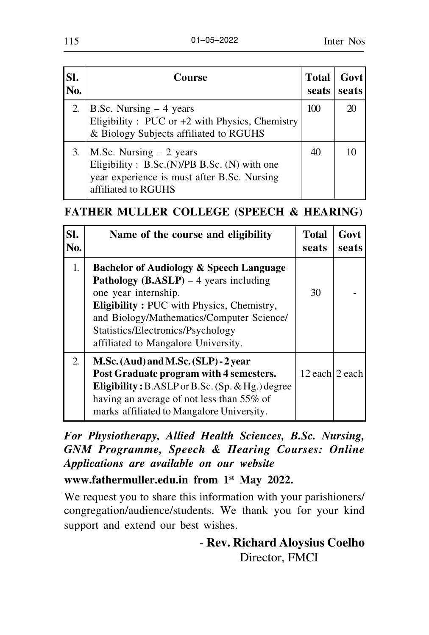| SI.<br>No. | <b>Course</b>                                                                                                                                   | <b>Total</b><br>seats | <b>Govt</b><br>seats |
|------------|-------------------------------------------------------------------------------------------------------------------------------------------------|-----------------------|----------------------|
| 2.         | B.Sc. Nursing $-4$ years<br>Eligibility : PUC or $+2$ with Physics, Chemistry<br>& Biology Subjects affiliated to RGUHS                         | 100                   |                      |
| 3.         | M.Sc. Nursing $-2$ years<br>Eligibility: $B.Sc.(N)/PB B.Sc. (N)$ with one<br>year experience is must after B.Sc. Nursing<br>affiliated to RGUHS | 40                    |                      |

# **FATHER MULLER COLLEGE (SPEECH & HEARING)**

| SI.<br>No.       | Name of the course and eligibility                                                                                                                                                                                                                                                                      | <b>Total</b><br>seats | Govt<br>seats |
|------------------|---------------------------------------------------------------------------------------------------------------------------------------------------------------------------------------------------------------------------------------------------------------------------------------------------------|-----------------------|---------------|
| 1.               | Bachelor of Audiology & Speech Language<br><b>Pathology</b> ( <b>B.ASLP</b> ) $-4$ years including<br>one year internship.<br><b>Eligibility: PUC</b> with Physics, Chemistry,<br>and Biology/Mathematics/Computer Science/<br>Statistics/Electronics/Psychology<br>affiliated to Mangalore University. | 30                    |               |
| $\overline{2}$ . | M.Sc. (Aud) and M.Sc. (SLP) - 2 year<br>Post Graduate program with 4 semesters.<br>Eligibility: $B.ASLP$ or $B.Sc.$ (Sp. & Hg.) degree<br>having an average of not less than 55% of<br>marks affiliated to Mangalore University.                                                                        | 12 each 2 each        |               |

*For Physiotherapy, Allied Health Sciences, B.Sc. Nursing, GNM Programme, Speech & Hearing Courses: Online Applications are available on our website*

**www.fathermuller.edu.in from 1st May 2022.**

We request you to share this information with your parishioners/ congregation/audience/students. We thank you for your kind support and extend our best wishes.

> - **Rev. Richard Aloysius Coelho** Director, FMCI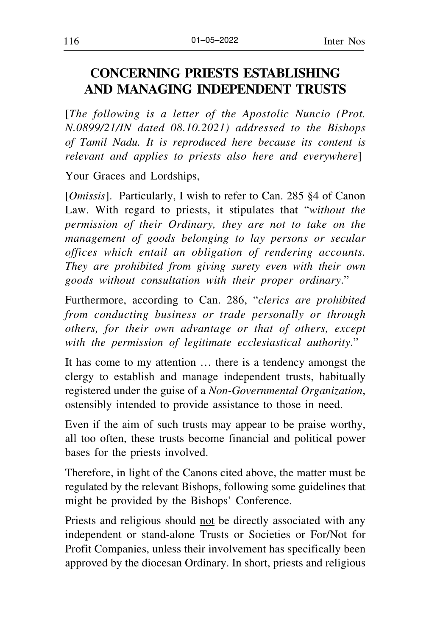# **CONCERNING PRIESTS ESTABLISHING AND MANAGING INDEPENDENT TRUSTS**

[*The following is a letter of the Apostolic Nuncio (Prot. N.0899/21/IN dated 08.10.2021) addressed to the Bishops of Tamil Nadu. It is reproduced here because its content is relevant and applies to priests also here and everywhere*]

Your Graces and Lordships,

[*Omissis*]. Particularly, I wish to refer to Can. 285 §4 of Canon Law. With regard to priests, it stipulates that "*without the permission of their Ordinary, they are not to take on the management of goods belonging to lay persons or secular offices which entail an obligation of rendering accounts. They are prohibited from giving surety even with their own goods without consultation with their proper ordinary*."

Furthermore, according to Can. 286, "*clerics are prohibited from conducting business or trade personally or through others, for their own advantage or that of others, except with the permission of legitimate ecclesiastical authority*."

It has come to my attention … there is a tendency amongst the clergy to establish and manage independent trusts, habitually registered under the guise of a *Non-Governmental Organization*, ostensibly intended to provide assistance to those in need.

Even if the aim of such trusts may appear to be praise worthy, all too often, these trusts become financial and political power bases for the priests involved.

Therefore, in light of the Canons cited above, the matter must be regulated by the relevant Bishops, following some guidelines that might be provided by the Bishops' Conference.

Priests and religious should not be directly associated with any independent or stand-alone Trusts or Societies or For/Not for Profit Companies, unless their involvement has specifically been approved by the diocesan Ordinary. In short, priests and religious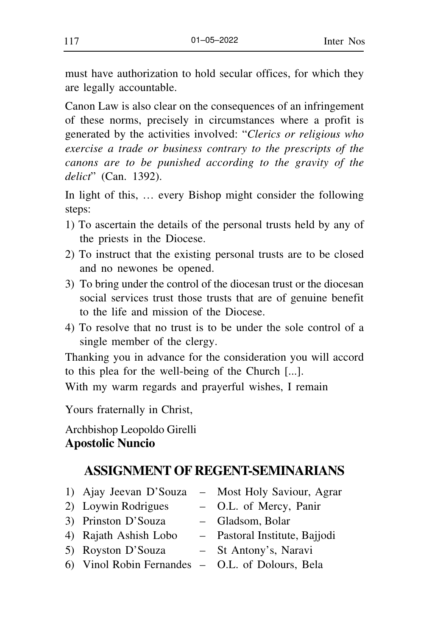must have authorization to hold secular offices, for which they are legally accountable.

Canon Law is also clear on the consequences of an infringement of these norms, precisely in circumstances where a profit is generated by the activities involved: "*Clerics or religious who exercise a trade or business contrary to the prescripts of the canons are to be punished according to the gravity of the delict*" (Can. 1392).

In light of this, … every Bishop might consider the following steps:

- 1) To ascertain the details of the personal trusts held by any of the priests in the Diocese.
- 2) To instruct that the existing personal trusts are to be closed and no newones be opened.
- 3) To bring under the control of the diocesan trust or the diocesan social services trust those trusts that are of genuine benefit to the life and mission of the Diocese.
- 4) To resolve that no trust is to be under the sole control of a single member of the clergy.

Thanking you in advance for the consideration you will accord to this plea for the well-being of the Church [...].

With my warm regards and prayerful wishes, I remain

Yours fraternally in Christ,

Archbishop Leopoldo Girelli **Apostolic Nuncio**

# **ASSIGNMENT OF REGENT-SEMINARIANS**

- 
- 2) Loywin Rodrigues O.L. of Mercy, Panir
- 3) Prinston D'Souza Gladsom, Bolar
- 
- 5) Royston D'Souza St Antony's, Naravi
- 6) Vinol Robin Fernandes O.L. of Dolours, Bela
- 1) Ajay Jeevan D'Souza Most Holy Saviour, Agrar
	-
	-
- 4) Rajath Ashish Lobo Pastoral Institute, Bajjodi
	-
	-